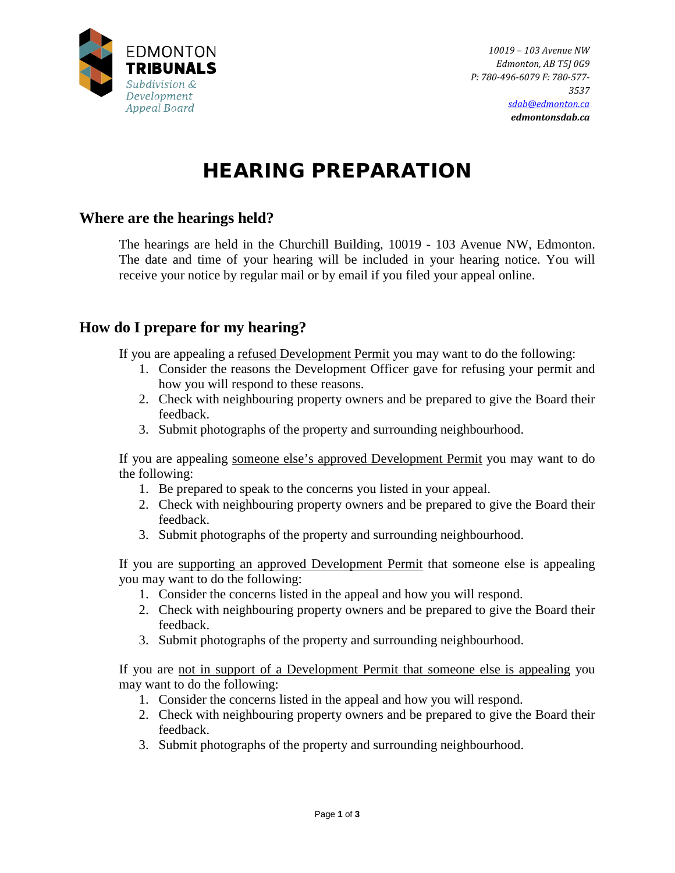

# HEARING PREPARATION

#### **[Where are the hearings held?](http://edmontontribunals.ca/arb/arb-faq.aspx%23145)**

The hearings are held in the Churchill Building, 10019 - 103 Avenue NW, Edmonton. The date and time of your hearing will be included in your hearing notice. You will receive your notice by regular mail or by email if you filed your appeal online.

### **[How do I prepare for my hearing?](http://edmontontribunals.ca/arb/arb-faq.aspx%23142)**

If you are appealing a refused Development Permit you may want to do the following:

- 1. Consider the reasons the Development Officer gave for refusing your permit and how you will respond to these reasons.
- 2. Check with neighbouring property owners and be prepared to give the Board their feedback.
- 3. Submit photographs of the property and surrounding neighbourhood.

If you are appealing someone else's approved Development Permit you may want to do the following:

- 1. Be prepared to speak to the concerns you listed in your appeal.
- 2. Check with neighbouring property owners and be prepared to give the Board their feedback.
- 3. Submit photographs of the property and surrounding neighbourhood.

If you are supporting an approved Development Permit that someone else is appealing you may want to do the following:

- 1. Consider the concerns listed in the appeal and how you will respond.
- 2. Check with neighbouring property owners and be prepared to give the Board their feedback.
- 3. Submit photographs of the property and surrounding neighbourhood.

If you are not in support of a Development Permit that someone else is appealing you may want to do the following:

- 1. Consider the concerns listed in the appeal and how you will respond.
- 2. Check with neighbouring property owners and be prepared to give the Board their feedback.
- 3. Submit photographs of the property and surrounding neighbourhood.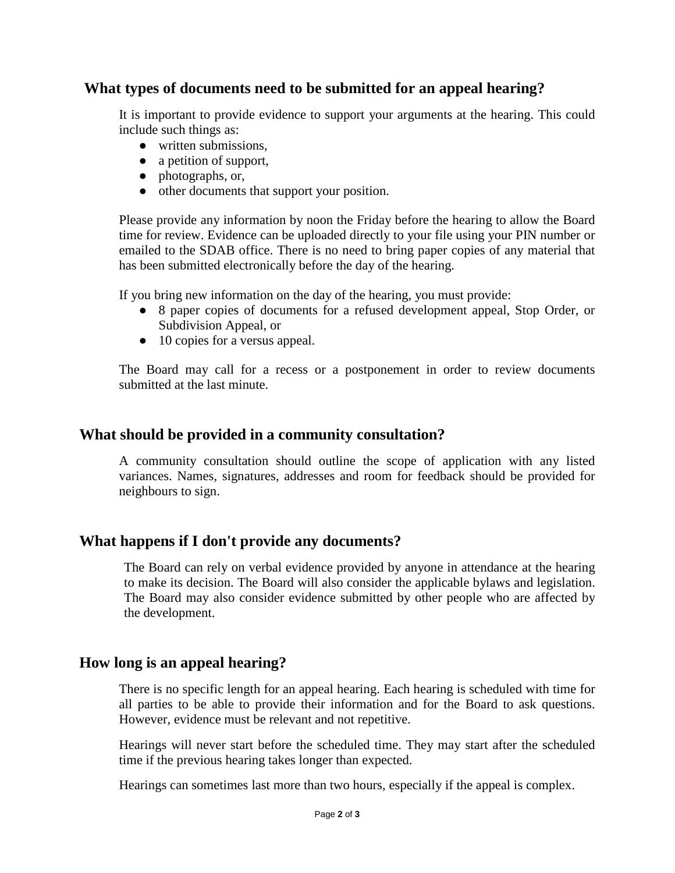# **What types [of documents need to be submitted for an appeal hearing?](http://edmontontribunals.ca/arb/arb-faq.aspx%23138)**

It is important to provide evidence to support your arguments at the hearing. This could include such things as:

- written submissions,
- a petition of support,
- photographs, or,
- other documents that support your position.

Please provide any information by noon the Friday before the hearing to allow the Board time for review. Evidence can be uploaded directly to your file using your PIN number or emailed to the SDAB office. There is no need to bring paper copies of any material that has been submitted electronically before the day of the hearing.

If you bring new information on the day of the hearing, you must provide:

- 8 paper copies of documents for a refused development appeal, Stop Order, or Subdivision Appeal, or
- 10 copies for a versus appeal.

The Board may call for a recess or a postponement in order to review documents submitted at the last minute.

#### **What should be provided in a community consultation?**

A community consultation should outline the scope of application with any listed variances. Names, signatures, addresses and room for feedback should be provided for neighbours to sign.

### **[What happens if I don't provide any documents?](http://edmontontribunals.ca/arb/arb-faq.aspx%23139)**

The Board can rely on verbal evidence provided by anyone in attendance at the hearing to make its decision. The Board will also consider the applicable bylaws and legislation. The Board may also consider evidence submitted by other people who are affected by the development.

### **How long is an appeal hearing?**

There is no specific length for an appeal hearing. Each hearing is scheduled with time for all parties to be able to provide their information and for the Board to ask questions. However, evidence must be relevant and not repetitive.

Hearings will never start before the scheduled time. They may start after the scheduled time if the previous hearing takes longer than expected.

Hearings can sometimes last more than two hours, especially if the appeal is complex.